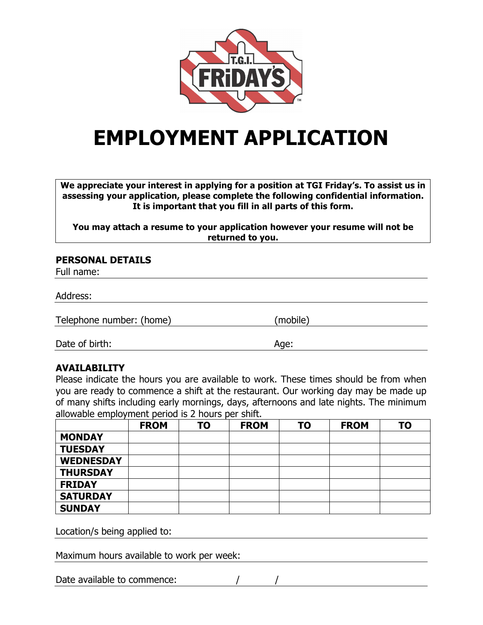

# **EMPLOYMENT APPLICATION**

**We appreciate your interest in applying for a position at TGI Friday's. To assist us in assessing your application, please complete the following confidential information. It is important that you fill in all parts of this form.**

**You may attach a resume to your application however your resume will not be returned to you.**

#### **PERSONAL DETAILS**

Full name:

Address:

Telephone number: (home) (mobile)

Date of birth: Age:

# **AVAILABILITY**

Please indicate the hours you are available to work. These times should be from when you are ready to commence a shift at the restaurant. Our working day may be made up of many shifts including early mornings, days, afternoons and late nights. The minimum allowable employment period is 2 hours per shift.

|                  | <b>FROM</b> | TO | <b>FROM</b> | TO | <b>FROM</b> | <b>TO</b> |
|------------------|-------------|----|-------------|----|-------------|-----------|
| <b>MONDAY</b>    |             |    |             |    |             |           |
| <b>TUESDAY</b>   |             |    |             |    |             |           |
| <b>WEDNESDAY</b> |             |    |             |    |             |           |
| <b>THURSDAY</b>  |             |    |             |    |             |           |
| <b>FRIDAY</b>    |             |    |             |    |             |           |
| <b>SATURDAY</b>  |             |    |             |    |             |           |
| <b>SUNDAY</b>    |             |    |             |    |             |           |

Location/s being applied to:

Maximum hours available to work per week:

Date available to commence: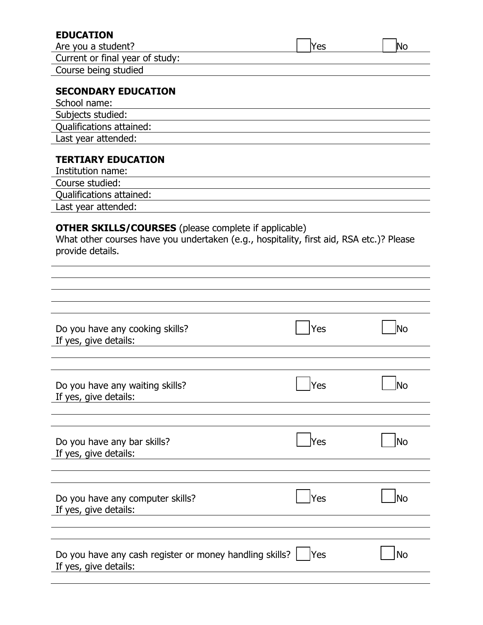| Are you a student?                                                                          |      |            |
|---------------------------------------------------------------------------------------------|------|------------|
|                                                                                             | lYes | <b>No</b>  |
| Current or final year of study:                                                             |      |            |
| Course being studied                                                                        |      |            |
| <b>SECONDARY EDUCATION</b>                                                                  |      |            |
| School name:                                                                                |      |            |
| Subjects studied:                                                                           |      |            |
| Qualifications attained:                                                                    |      |            |
| Last year attended:                                                                         |      |            |
| <b>TERTIARY EDUCATION</b>                                                                   |      |            |
| Institution name:                                                                           |      |            |
| Course studied:                                                                             |      |            |
| Qualifications attained:                                                                    |      |            |
| Last year attended:                                                                         |      |            |
|                                                                                             |      |            |
|                                                                                             |      |            |
|                                                                                             |      |            |
|                                                                                             | Yes  | <b>INo</b> |
|                                                                                             | Yes  | JNo        |
| Do you have any cooking skills?<br>If yes, give details:<br>Do you have any waiting skills? |      |            |
| Do you have any bar skills?                                                                 | Yes  | No         |
| Do you have any computer skills?                                                            | Yes  |            |
| If yes, give details:<br>If yes, give details:<br>If yes, give details:                     |      | No         |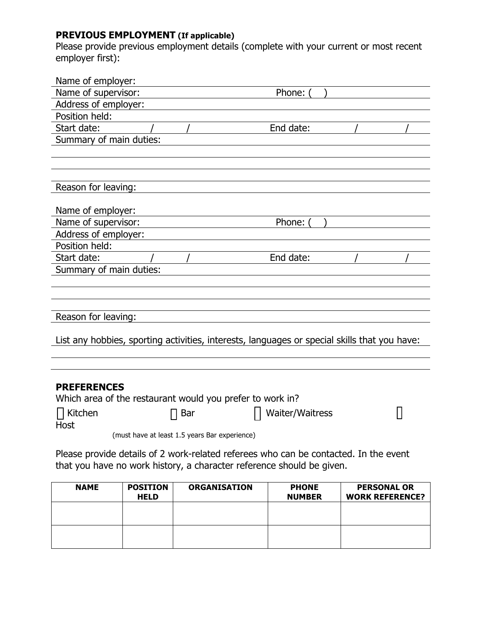## **PREVIOUS EMPLOYMENT (If applicable)**

Please provide previous employment details (complete with your current or most recent employer first):

| Name of employer:                                                                            |                                               |                 |  |  |
|----------------------------------------------------------------------------------------------|-----------------------------------------------|-----------------|--|--|
| Name of supervisor:                                                                          |                                               | Phone:          |  |  |
| Address of employer:                                                                         |                                               |                 |  |  |
| Position held:                                                                               |                                               |                 |  |  |
| Start date:                                                                                  |                                               | End date:       |  |  |
| Summary of main duties:                                                                      |                                               |                 |  |  |
|                                                                                              |                                               |                 |  |  |
|                                                                                              |                                               |                 |  |  |
| Reason for leaving:                                                                          |                                               |                 |  |  |
|                                                                                              |                                               |                 |  |  |
| Name of employer:                                                                            |                                               |                 |  |  |
| Name of supervisor:                                                                          |                                               | Phone:          |  |  |
| Address of employer:                                                                         |                                               |                 |  |  |
| Position held:                                                                               |                                               |                 |  |  |
| Start date:                                                                                  |                                               | End date:       |  |  |
| Summary of main duties:                                                                      |                                               |                 |  |  |
|                                                                                              |                                               |                 |  |  |
|                                                                                              |                                               |                 |  |  |
|                                                                                              |                                               |                 |  |  |
| Reason for leaving:                                                                          |                                               |                 |  |  |
|                                                                                              |                                               |                 |  |  |
| List any hobbies, sporting activities, interests, languages or special skills that you have: |                                               |                 |  |  |
|                                                                                              |                                               |                 |  |  |
|                                                                                              |                                               |                 |  |  |
| <b>PREFERENCES</b>                                                                           |                                               |                 |  |  |
| Which area of the restaurant would you prefer to work in?                                    |                                               |                 |  |  |
| Kitchen                                                                                      | Bar                                           | Waiter/Waitress |  |  |
| Host                                                                                         |                                               |                 |  |  |
|                                                                                              | (must have at least 1.5 years Bar experience) |                 |  |  |
| Please provide details of 2 work-related referees who can be contacted. In the event         |                                               |                 |  |  |
| that you have no work history, a character reference should be given.                        |                                               |                 |  |  |
|                                                                                              |                                               |                 |  |  |

| <b>NAME</b> | <b>POSITION</b><br><b>HELD</b> | <b>ORGANISATION</b> | <b>PHONE</b><br><b>NUMBER</b> | <b>PERSONAL OR</b><br><b>WORK REFERENCE?</b> |
|-------------|--------------------------------|---------------------|-------------------------------|----------------------------------------------|
|             |                                |                     |                               |                                              |
|             |                                |                     |                               |                                              |